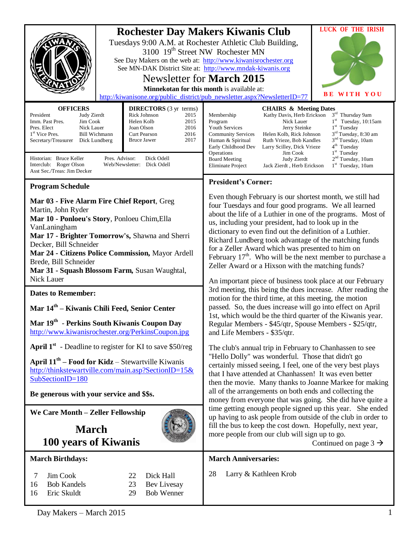| <b>OFFICERS</b><br><b>DIRECTORS</b> (3 yr terms)<br>Rick Johnson<br>President<br>Judy Zierdt<br>2015                                                                                                                                                                                                                                                                                                       | <b>LUCK OF THE IRISH</b><br><b>Rochester Day Makers Kiwanis Club</b><br>Tuesdays 9:00 A.M. at Rochester Athletic Club Building,<br>3100 19 <sup>th</sup> Street NW Rochester MN<br>See Day Makers on the web at: http://www.kiwanisrochester.org<br>See MN-DAK District Site at: http://www.mndak-kiwanis.org<br>Newsletter for <b>March 2015</b><br>Minnekotan for this month is available at:<br>WITH YOU<br>http://kiwanisone.org/public_district/pub_newsletter.aspx?NewsletterID=77<br><b>CHAIRS &amp; Meeting Dates</b><br>3rd Thursday 9am<br>Kathy Davis, Herb Erickson<br>Membership             |  |
|------------------------------------------------------------------------------------------------------------------------------------------------------------------------------------------------------------------------------------------------------------------------------------------------------------------------------------------------------------------------------------------------------------|-----------------------------------------------------------------------------------------------------------------------------------------------------------------------------------------------------------------------------------------------------------------------------------------------------------------------------------------------------------------------------------------------------------------------------------------------------------------------------------------------------------------------------------------------------------------------------------------------------------|--|
| Imm. Past Pres.<br>Jim Cook<br>Helen Kolb<br>2015<br>Joan Olson<br>2016<br>Pres. Elect<br>Nick Lauer<br>2016<br>1 <sup>st</sup> Vice Pres.<br><b>Bill Wichmann</b><br>Curt Pearson<br><b>Bruce Jawer</b><br>2017<br>Secretary/Treasurer<br>Dick Lundberg<br>Pres. Advisor:<br>Historian: Bruce Keller<br>Dick Odell<br>Interclub: Roger Olson<br>Web/Newsletter: Dick Odell<br>Asst Sec./Treas: Jim Decker | 1st Tuesday, 10:15am<br>Nick Lauer<br>Program<br>1 <sup>st</sup> Tuesday<br><b>Youth Services</b><br>Jerry Steinke<br>3 <sup>rd</sup> Tuesday, 8:30 am<br><b>Community Services</b><br>Helen Kolb, Rick Johnson<br>3 <sup>nd</sup> Tuesday, 10am<br>Ruth Vrieze, Bob Kandles<br>Human & Spiritual<br>4 <sup>th</sup> Tuesday<br>Early Childhood Dev<br>Larry Scilley, Dick Vrieze<br>1 <sup>st</sup> Tuesday<br>Operations<br>Jim Cook<br>2 <sup>nd</sup> Tuesday, 10am<br><b>Board Meeting</b><br>Judy Zierdt<br>1 <sup>st</sup> Tuesday, 10am<br><b>Eliminate Project</b><br>Jack Zierdt, Herb Erickson |  |
| <b>Program Schedule</b>                                                                                                                                                                                                                                                                                                                                                                                    | <b>President's Corner:</b>                                                                                                                                                                                                                                                                                                                                                                                                                                                                                                                                                                                |  |
| Mar 03 - Five Alarm Fire Chief Report, Greg<br>Martin, John Ryder<br>Mar 10 - Ponloeu's Story, Ponloeu Chim, Ella<br>VanLaningham<br>Mar 17 - Brighter Tomorrow's, Shawna and Sherri<br>Decker, Bill Schneider<br>Mar 24 - Citizens Police Commission, Mayor Ardell<br>Brede, Bill Schneider<br>Mar 31 - Squash Blossom Farm, Susan Waughtal,<br><b>Nick Lauer</b>                                         | Even though February is our shortest month, we still had<br>four Tuesdays and four good programs. We all learned<br>about the life of a Luthier in one of the programs. Most of<br>us, including your president, had to look up in the<br>dictionary to even find out the definition of a Luthier.<br>Richard Lundberg took advantage of the matching funds<br>for a Zeller Award which was presented to him on<br>February $17th$ . Who will be the next member to purchase a<br>Zeller Award or a Hixson with the matching funds?                                                                       |  |
| <b>Dates to Remember:</b>                                                                                                                                                                                                                                                                                                                                                                                  | An important piece of business took place at our February<br>3rd meeting, this being the dues increase. After reading the                                                                                                                                                                                                                                                                                                                                                                                                                                                                                 |  |
| Mar 14 <sup>th</sup> – Kiwanis Chili Feed, Senior Center                                                                                                                                                                                                                                                                                                                                                   | motion for the third time, at this meeting, the motion<br>passed. So, the dues increase will go into effect on April<br>1st, which would be the third quarter of the Kiwanis year.<br>Regular Members - \$45/qtr, Spouse Members - \$25/qtr,<br>and Life Members - \$35/qtr.                                                                                                                                                                                                                                                                                                                              |  |
| Mar 19 <sup>th</sup> - Perkins South Kiwanis Coupon Day<br>http://www.kiwanisrochester.org/PerkinsCoupon.jpg                                                                                                                                                                                                                                                                                               |                                                                                                                                                                                                                                                                                                                                                                                                                                                                                                                                                                                                           |  |
| <b>April 1st</b> - Deadline to register for KI to save \$50/reg<br>April $11th$ – Food for Kidz – Stewartville Kiwanis<br>http://thinkstewartville.com/main.asp?SectionID=15&<br>SubSectionID=180<br>Be generous with your service and \$\$s.                                                                                                                                                              | The club's annual trip in February to Chanhassen to see<br>"Hello Dolly" was wonderful. Those that didn't go<br>certainly missed seeing, I feel, one of the very best plays<br>that I have attended at Chanhassen! It was even better<br>then the movie. Many thanks to Joanne Markee for making<br>all of the arrangements on both ends and collecting the<br>money from everyone that was going. She did have quite a                                                                                                                                                                                   |  |
| We Care Month - Zeller Fellowship                                                                                                                                                                                                                                                                                                                                                                          | time getting enough people signed up this year. She ended<br>up having to ask people from outside of the club in order to                                                                                                                                                                                                                                                                                                                                                                                                                                                                                 |  |
| <b>March</b><br>100 years of Kiwanis                                                                                                                                                                                                                                                                                                                                                                       | fill the bus to keep the cost down. Hopefully, next year,<br>more people from our club will sign up to go.<br>Continued on page $3 \rightarrow$                                                                                                                                                                                                                                                                                                                                                                                                                                                           |  |
| <b>March Birthdays:</b>                                                                                                                                                                                                                                                                                                                                                                                    | <b>March Anniversaries:</b>                                                                                                                                                                                                                                                                                                                                                                                                                                                                                                                                                                               |  |
| Jim Cook<br>Dick Hall<br>7<br>22<br><b>Bob Kandels</b><br>Bev Livesay<br>16<br>23<br><b>Bob Wenner</b><br>16<br>Eric Skuldt<br>29                                                                                                                                                                                                                                                                          | 28<br>Larry & Kathleen Krob                                                                                                                                                                                                                                                                                                                                                                                                                                                                                                                                                                               |  |
| Day Makers - March 2015                                                                                                                                                                                                                                                                                                                                                                                    |                                                                                                                                                                                                                                                                                                                                                                                                                                                                                                                                                                                                           |  |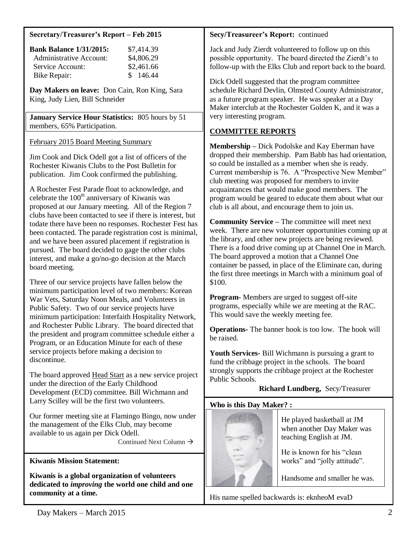#### **Secretary/Treasurer's Report – Feb 2015**

| <b>Bank Balance 1/31/2015:</b> | \$7,414.39 |
|--------------------------------|------------|
| Administrative Account:        | \$4,806.29 |
| Service Account:               | \$2,461.66 |
| <b>Bike Repair:</b>            | \$146.44   |

**Day Makers on leave:** Don Cain, Ron King, Sara King, Judy Lien, Bill Schneider

**January Service Hour Statistics:** 805 hours by 51 members, 65% Participation.

February 2015 Board Meeting Summary

Jim Cook and Dick Odell got a list of officers of the Rochester Kiwanis Clubs to the Post Bulletin for publication. Jim Cook confirmed the publishing.

A Rochester Fest Parade float to acknowledge, and celebrate the 100<sup>th</sup> anniversary of Kiwanis was proposed at our January meeting. All of the Region 7 clubs have been contacted to see if there is interest, but todate there have been no responses. Rochester Fest has been contacted. The parade registration cost is minimal, and we have been assured placement if registration is pursued. The board decided to gage the other clubs interest, and make a go/no-go decision at the March board meeting.

Three of our service projects have fallen below the minimum participation level of two members: Korean War Vets, Saturday Noon Meals, and Volunteers in Public Safety. Two of our service projects have minimum participation: Interfaith Hospitality Network, and Rochester Public Library. The board directed that the president and program committee schedule either a Program, or an Education Minute for each of these service projects before making a decision to discontinue.

The board approved Head Start as a new service project under the direction of the Early Childhood Development (ECD) committee. Bill Wichmann and Larry Scilley will be the first two volunteers.

Our former meeting site at Flamingo Bingo, now under the management of the Elks Club, may become available to us again per Dick Odell.

Continued Next Column  $\rightarrow$ 

### **Kiwanis Mission Statement:**

**Kiwanis is a global organization of volunteers dedicated to** *improving* **the world one child and one community at a time.**

### **Secy/Treasureer's Report:** continued

Jack and Judy Zierdt volunteered to follow up on this possible opportunity. The board directed the Zierdt's to follow-up with the Elks Club and report back to the board.

Dick Odell suggested that the program committee schedule Richard Devlin, Olmsted County Administrator, as a future program speaker. He was speaker at a Day Maker interclub at the Rochester Golden K, and it was a very interesting program.

# **COMMITTEE REPORTS**

**Membership –** Dick Podolske and Kay Eberman have dropped their membership. Pam Babb has had orientation, so could be installed as a member when she is ready. Current membership is 76. A "Prospective New Member" club meeting was proposed for members to invite acquaintances that would make good members. The program would be geared to educate them about what our club is all about, and encourage them to join us.

**Community Service –** The committee will meet next week. There are new volunteer opportunities coming up at the library, and other new projects are being reviewed. There is a food drive coming up at Channel One in March. The board approved a motion that a Channel One container be passed, in place of the Eliminate can, during the first three meetings in March with a minimum goal of \$100.

**Program-** Members are urged to suggest off-site programs, especially while we are meeting at the RAC. This would save the weekly meeting fee.

**Operations-** The banner hook is too low. The hook will be raised.

**Youth Services-** Bill Wichmann is pursuing a grant to fund the cribbage project in the schools. The board strongly supports the cribbage project at the Rochester Public Schools.

# **Richard Lundberg,** Secy/Treasurer

### **Who is this Day Maker? :**



He played basketball at JM when another Day Maker was teaching English at JM.

He is known for his "clean works" and "jolly attitude".

Handsome and smaller he was.

His name spelled backwards is: eknheoM evaD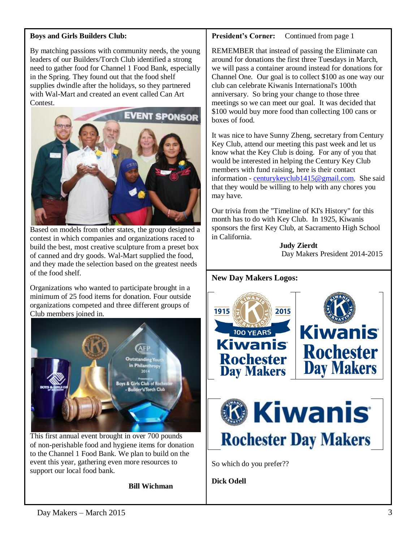#### **Boys and Girls Builders Club:**

By matching passions with community needs, the young leaders of our Builders/Torch Club identified a strong need to gather food for Channel 1 Food Bank, especially in the Spring. They found out that the food shelf supplies dwindle after the holidays, so they partnered with Wal-Mart and created an event called Can Art Contest.



Based on models from other states, the group designed a contest in which companies and organizations raced to build the best, most creative sculpture from a preset box of canned and dry goods. Wal-Mart supplied the food, and they made the selection based on the greatest needs of the food shelf.

Organizations who wanted to participate brought in a minimum of 25 food items for donation. Four outside organizations competed and three different groups of Club members joined in.



This first annual event brought in over 700 pounds of non-perishable food and hygiene items for donation to the Channel 1 Food Bank. We plan to build on the event this year, gathering even more resources to support our local food bank.

**Bill Wichman**

#### **President's Corner:** Continued from page 1

REMEMBER that instead of passing the Eliminate can around for donations the first three Tuesdays in March, we will pass a container around instead for donations for Channel One. Our goal is to collect \$100 as one way our club can celebrate Kiwanis International's 100th anniversary. So bring your change to those three meetings so we can meet our goal. It was decided that \$100 would buy more food than collecting 100 cans or boxes of food.

It was nice to have Sunny Zheng, secretary from Century Key Club, attend our meeting this past week and let us know what the Key Club is doing. For any of you that would be interested in helping the Century Key Club members with fund raising, here is their contact information - [centurykeyclub1415@gmail.com.](mailto:centurykeyclub1415@gmail.com) She said that they would be willing to help with any chores you may have.

Our trivia from the "Timeline of KI's History" for this month has to do with Key Club. In 1925, Kiwanis sponsors the first Key Club, at Sacramento High School in California.

 **Judy Zierdt** Day Makers President 2014-2015

### **New Day Makers Logos:**



**Dick Odell**